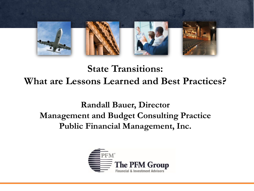

#### **State Transitions: What are Lessons Learned and Best Practices?**

**Randall Bauer, Director Management and Budget Consulting Practice Public Financial Management, Inc.**

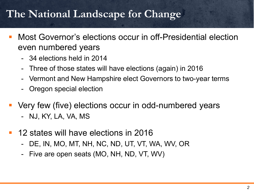### **The National Landscape for Change**

- Most Governor's elections occur in off-Presidential election even numbered years
	- 34 elections held in 2014
	- Three of those states will have elections (again) in 2016
	- Vermont and New Hampshire elect Governors to two-year terms
	- Oregon special election
- Very few (five) elections occur in odd-numbered years
	- NJ, KY, LA, VA, MS
- 12 states will have elections in 2016
	- DE, IN, MO, MT, NH, NC, ND, UT, VT, WA, WV, OR
	- Five are open seats (MO, NH, ND, VT, WV)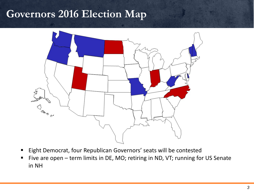#### **Governors 2016 Election Map**



- **Eight Democrat, four Republican Governors' seats will be contested**
- Five are open term limits in DE, MO; retiring in ND, VT; running for US Senate in NH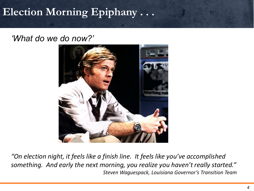### **Election Morning Epiphany . . .**

#### *'What do we do now?'*



*"On election night, it feels like a finish line. It feels like you've accomplished something. And early the next morning, you realize you haven't really started." Steven Waguespack, Louisiana Governor's Transition Team*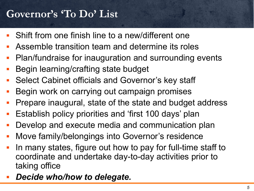### **Governor's 'To Do' List**

- Shift from one finish line to a new/different one
- Assemble transition team and determine its roles
- Plan/fundraise for inauguration and surrounding events
- Begin learning/crafting state budget
- Select Cabinet officials and Governor's key staff
- **Begin work on carrying out campaign promises**
- Prepare inaugural, state of the state and budget address
- Establish policy priorities and 'first 100 days' plan
- Develop and execute media and communication plan
- Move family/belongings into Governor's residence
- In many states, figure out how to pay for full-time staff to coordinate and undertake day-to-day activities prior to taking office
- *Decide who/how to delegate.*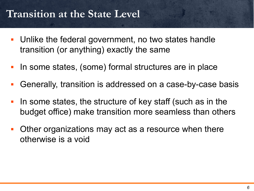### **Transition at the State Level**

- Unlike the federal government, no two states handle transition (or anything) exactly the same
- In some states, (some) formal structures are in place
- Generally, transition is addressed on a case-by-case basis
- In some states, the structure of key staff (such as in the budget office) make transition more seamless than others
- Other organizations may act as a resource when there otherwise is a void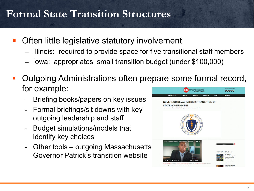### **Formal State Transition Structures**

- **Often little legislative statutory involvement** 
	- Illinois: required to provide space for five transitional staff members
	- Iowa: appropriates small transition budget (under \$100,000)
- Outgoing Administrations often prepare some formal record, for example: **ACHUSETTS** 00000
	- Briefing books/papers on key issues
	- Formal briefings/sit downs with key outgoing leadership and staff
	- Budget simulations/models that identify key choices
	- Other tools outgoing Massachusetts Governor Patrick's transition website

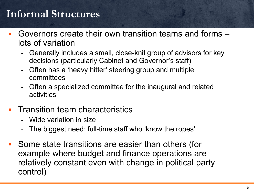### **Informal Structures**

- Governors create their own transition teams and forms lots of variation
	- Generally includes a small, close-knit group of advisors for key decisions (particularly Cabinet and Governor's staff)
	- Often has a 'heavy hitter' steering group and multiple committees
	- Often a specialized committee for the inaugural and related activities
- Transition team characteristics
	- Wide variation in size
	- The biggest need: full-time staff who 'know the ropes'
- Some state transitions are easier than others (for example where budget and finance operations are relatively constant even with change in political party control)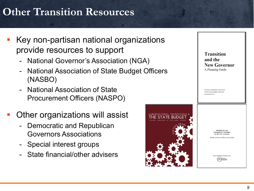# **Other Transition Resources**

- Key non-partisan national organizations provide resources to support
	- National Governor's Association (NGA)
	- National Association of State Budget Officers (NASBO)
	- **National Association of State** Procurement Officers (NASPO)
- Other organizations will assist
	- Democratic and Republican Governors Associations
	- Special interest groups
	- State financial/other advisers



**Transition** and the **New Governor** A Planning Guide

NATIONAL GOVERNORS' ASSOCIATION OFFICE OF MANAGEMENT SERVICES INGTON, D.C.

> **Management Note Management Challenges** for the New Governor

**Hurdles to Clear and Where to Find Help** 

GOVERNORS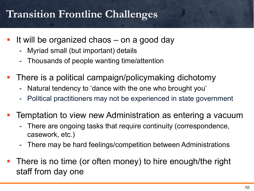### **Transition Frontline Challenges**

- If will be organized chaos  $-$  on a good day
	- Myriad small (but important) details
	- Thousands of people wanting time/attention
- There is a political campaign/policymaking dichotomy
	- Natural tendency to 'dance with the one who brought you'
	- Political practitioners may not be experienced in state government
- Temptation to view new Administration as entering a vacuum
	- There are ongoing tasks that require continuity (correspondence, casework, etc.)
	- There may be hard feelings/competition between Administrations
- There is no time (or often money) to hire enough/the right staff from day one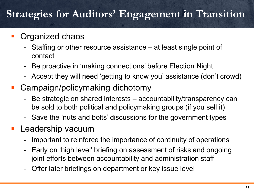### **Strategies for Auditors' Engagement in Transition**

#### Organized chaos

- Staffing or other resource assistance at least single point of contact
- Be proactive in 'making connections' before Election Night
- Accept they will need 'getting to know you' assistance (don't crowd)
- Campaign/policymaking dichotomy
	- Be strategic on shared interests accountability/transparency can be sold to both political and policymaking groups (if you sell it)
	- Save the 'nuts and bolts' discussions for the government types
- Leadership vacuum
	- Important to reinforce the importance of continuity of operations
	- Early on 'high level' briefing on assessment of risks and ongoing joint efforts between accountability and administration staff
	- Offer later briefings on department or key issue level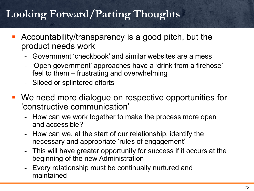# **Looking Forward/Parting Thoughts**

- Accountability/transparency is a good pitch, but the product needs work
	- Government 'checkbook' and similar websites are a mess
	- 'Open government' approaches have a 'drink from a firehose' feel to them – frustrating and overwhelming
	- Siloed or splintered efforts
- We need more dialogue on respective opportunities for 'constructive communication'
	- How can we work together to make the process more open and accessible?
	- How can we, at the start of our relationship, identify the necessary and appropriate 'rules of engagement'
	- This will have greater opportunity for success if it occurs at the beginning of the new Administration
	- Every relationship must be continually nurtured and maintained